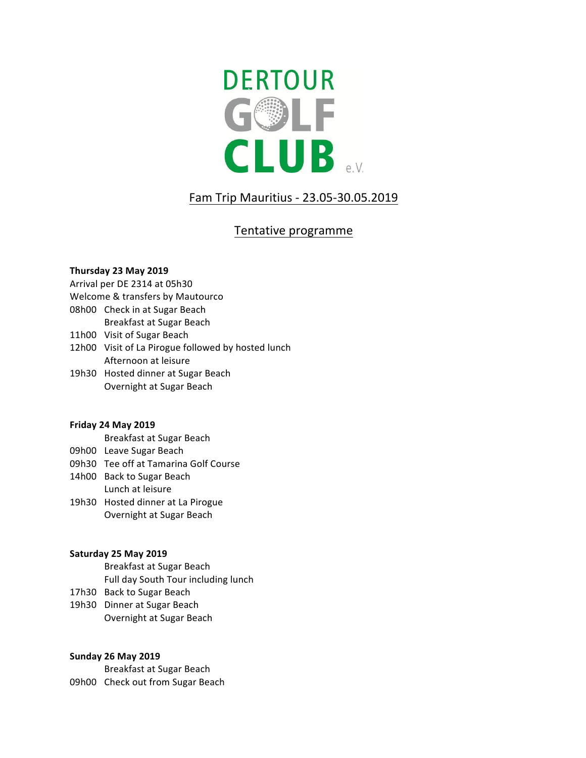

# Fam Trip Mauritius - 23.05-30.05.2019

## Tentative programme

### **Thursday 23 May 2019**

Arrival per DE 2314 at 05h30

- Welcome & transfers by Mautourco
- 08h00 Check in at Sugar Beach
	- Breakfast at Sugar Beach
- 11h00 Visit of Sugar Beach
- 12h00 Visit of La Pirogue followed by hosted lunch Afternoon at leisure
- 19h30 Hosted dinner at Sugar Beach Overnight at Sugar Beach

## **Friday 24 May 2019**

Breakfast at Sugar Beach

- 09h00 Leave Sugar Beach
- 09h30 Tee off at Tamarina Golf Course
- 14h00 Back to Sugar Beach Lunch at leisure
- 19h30 Hosted dinner at La Pirogue Overnight at Sugar Beach

## **Saturday 25 May 2019**

Breakfast at Sugar Beach Full day South Tour including lunch

- 17h30 Back to Sugar Beach
- 19h30 Dinner at Sugar Beach Overnight at Sugar Beach

## **Sunday 26 May 2019**

Breakfast at Sugar Beach 09h00 Check out from Sugar Beach